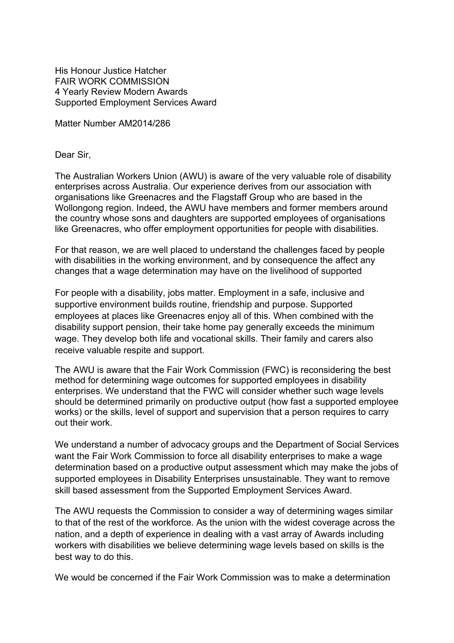His Honour Justice Hatcher FAIR WORK COMMISSION 4 Yearly Review Modern Awards Supported Employment Services Award

Matter Number AM2014/286

Dear Sir,

The Australian Workers Union (AWU) is aware of the very valuable role of disability enterprises across Australia. Our experience derives from our association with organisations like Greenacres and the Flagstaff Group who are based in the Wollongong region. Indeed, the AWU have members and former members around the country whose sons and daughters are supported employees of organisations like Greenacres, who offer employment opportunities for people with disabilities.

For that reason, we are well placed to understand the challenges faced by people with disabilities in the working environment, and by consequence the affect any changes that a wage determination may have on the livelihood of supported

For people with a disability, jobs matter. Employment in a safe, inclusive and supportive environment builds routine, friendship and purpose. Supported employees at places like Greenacres enjoy all of this. When combined with the disability support pension, their take home pay generally exceeds the minimum wage. They develop both life and vocational skills. Their family and carers also receive valuable respite and support.

The AWU is aware that the Fair Work Commission (FWC) is reconsidering the best method for determining wage outcomes for supported employees in disability enterprises. We understand that the FWC will consider whether such wage levels should be determined primarily on productive output (how fast a supported employee works) or the skills, level of support and supervision that a person requires to carry out their work.

We understand a number of advocacy groups and the Department of Social Services want the Fair Work Commission to force all disability enterprises to make a wage determination based on a productive output assessment which may make the jobs of supported employees in Disability Enterprises unsustainable. They want to remove skill based assessment from the Supported Employment Services Award.

The AWU requests the Commission to consider a way of determining wages similar to that of the rest of the workforce. As the union with the widest coverage across the nation, and a depth of experience in dealing with a vast array of Awards including workers with disabilities we believe determining wage levels based on skills is the best way to do this.

We would be concerned if the Fair Work Commission was to make a determination